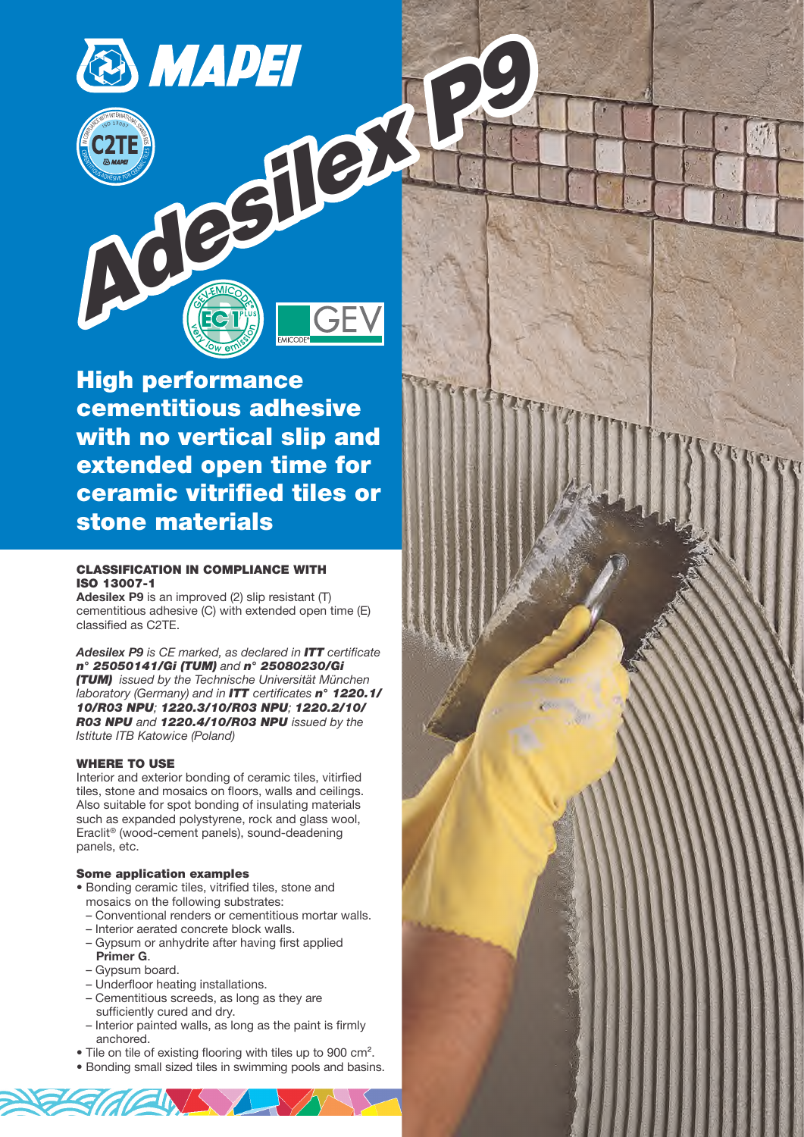IN COMPLIANCE WITH INTERNATIONAL STANDARDS

<sub>15</sub>0 130<sub>07</sub>

CEMENT ESPERANTI



**High performance cementitious adhesive with no vertical slip and extended open time for ceramic vitrified tiles or stone materials**

## **CLASSIFICATION IN COMPLIANCE WITH ISO 13007-1**

**Adesilex P9** is an improved (2) slip resistant (T) cementitious adhesive (C) with extended open time (E) classified as C2TE.

**Adesilex P9** is CE marked, as declared in *ITT* certificate *n° 25050141/Gi (TUM)* and *n° 25080230/Gi (TUM)* issued by the Technische Universität München laboratory (Germany) and in *ITT* certificates *n° 1220.1/ 10/R03 NPU*; *1220.3/10/R03 NPU*; *1220.2/10/ R03 NPU* and *1220.4/10/R03 NPU* issued by the Istitute ITB Katowice (Poland)

## **WHERE TO USE**

Interior and exterior bonding of ceramic tiles, vitirfied tiles, stone and mosaics on floors, walls and ceilings. Also suitable for spot bonding of insulating materials such as expanded polystyrene, rock and glass wool, Eraclit® (wood-cement panels), sound-deadening panels, etc.

## **Some application examples**

- Bonding ceramic tiles, vitrified tiles, stone and mosaics on the following substrates:
	- Conventional renders or cementitious mortar walls.
	- Interior aerated concrete block walls. – Gypsum or anhydrite after having first applied
	- **Primer G**.
	- Gypsum board.
	- Underfloor heating installations.
	- Cementitious screeds, as long as they are sufficiently cured and dry.
	- Interior painted walls, as long as the paint is firmly anchored.
- Tile on tile of existing flooring with tiles up to 900 cm<sup>2</sup>.
- Bonding small sized tiles in swimming pools and basins.

**102\_adesilex p9\_gb (23.04.2009 - 4ª Bozza/Ciano/PDF)**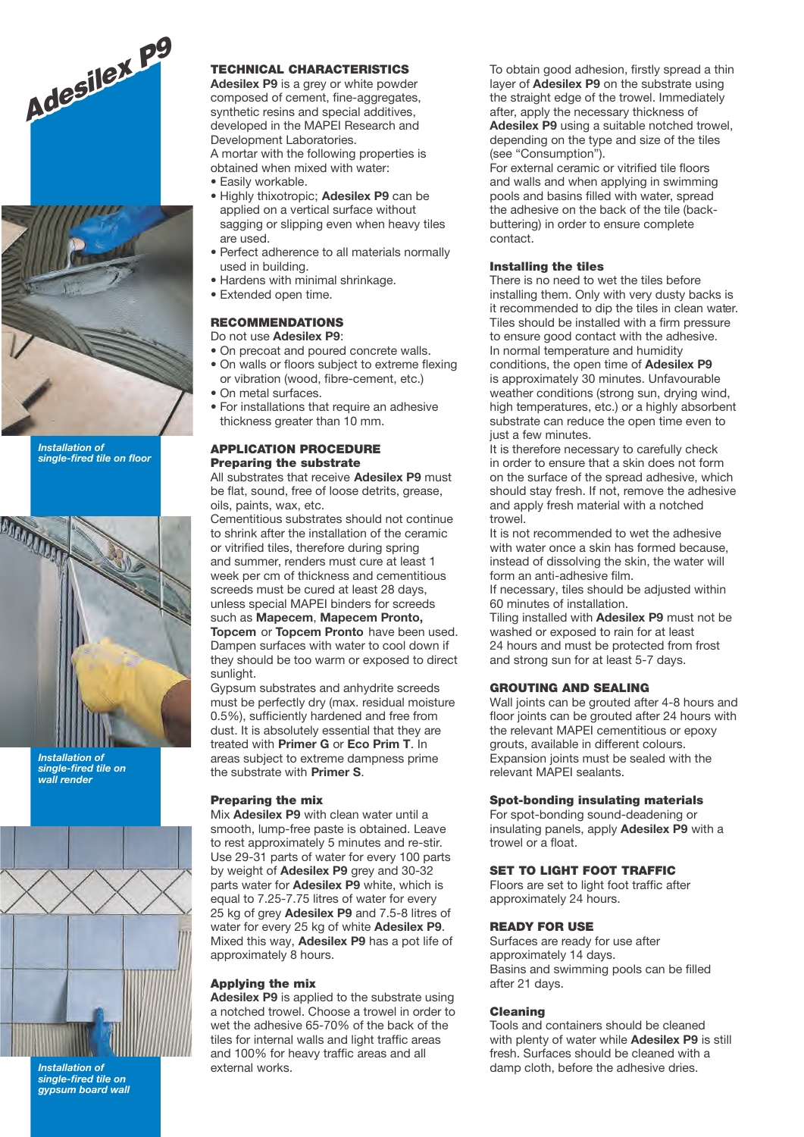



**Installation of single-fired tile on floor**



**Installation of single-fired tile on wall render**



**Installation of single-fired tile on gypsum board wall**

## **TECHNICAL CHARACTERISTICS**

Adesilex P9 is a grey or white powder composed of cement, fine-aggregates, synthetic resins and special additives, developed in the MAPEI Research and Development Laboratories. A mortar with the following properties is

obtained when mixed with water: • Easily workable.

- Highly thixotropic; **Adesilex P9** can be applied on a vertical surface without sagging or slipping even when heavy tiles are used.
- Perfect adherence to all materials normally used in building.
- Hardens with minimal shrinkage.
- Extended open time.

## **RECOMMENDATIONS**

Do not use **Adesilex P9**:

- On precoat and poured concrete walls.
- On walls or floors subject to extreme flexing or vibration (wood, fibre-cement, etc.)
- On metal surfaces.
- For installations that require an adhesive thickness greater than 10 mm.

# **APPLICATION PROCEDURE Preparing the substrate**

All substrates that receive **Adesilex P9** must be flat, sound, free of loose detrits, grease, oils, paints, wax, etc.

Cementitious substrates should not continue to shrink after the installation of the ceramic or vitrified tiles, therefore during spring and summer, renders must cure at least 1 week per cm of thickness and cementitious screeds must be cured at least 28 days, unless special MAPEI binders for screeds such as **Mapecem**, **Mapecem Pronto, Topcem** or **Topcem Pronto** have been used. Dampen surfaces with water to cool down if they should be too warm or exposed to direct sunlight.

Gypsum substrates and anhydrite screeds must be perfectly dry (max. residual moisture 0.5%), sufficiently hardened and free from dust. It is absolutely essential that they are treated with **Primer G** or **Eco Prim T**. In areas subject to extreme dampness prime the substrate with **Primer S**.

## **Preparing the mix**

Mix **Adesilex P9** with clean water until a smooth, lump-free paste is obtained. Leave to rest approximately 5 minutes and re-stir. Use 29-31 parts of water for every 100 parts by weight of **Adesilex P9** grey and 30-32 parts water for **Adesilex P9** white, which is equal to 7.25-7.75 litres of water for every 25 kg of grey **Adesilex P9** and 7.5-8 litres of water for every 25 kg of white **Adesilex P9**. Mixed this way, **Adesilex P9** has a pot life of approximately 8 hours.

#### **Applying the mix**

**Adesilex P9** is applied to the substrate using a notched trowel. Choose a trowel in order to wet the adhesive 65-70% of the back of the tiles for internal walls and light traffic areas and 100% for heavy traffic areas and all external works.

To obtain good adhesion, firstly spread a thin layer of **Adesilex P9** on the substrate using the straight edge of the trowel. Immediately after, apply the necessary thickness of **Adesilex P9** using a suitable notched trowel, depending on the type and size of the tiles (see "Consumption").

For external ceramic or vitrified tile floors and walls and when applying in swimming pools and basins filled with water, spread the adhesive on the back of the tile (backbuttering) in order to ensure complete contact.

#### **Installing the tiles**

There is no need to wet the tiles before installing them. Only with very dusty backs is it recommended to dip the tiles in clean water. Tiles should be installed with a firm pressure to ensure good contact with the adhesive. In normal temperature and humidity conditions, the open time of **Adesilex P9** is approximately 30 minutes. Unfavourable weather conditions (strong sun, drying wind, high temperatures, etc.) or a highly absorbent substrate can reduce the open time even to just a few minutes.

It is therefore necessary to carefully check in order to ensure that a skin does not form on the surface of the spread adhesive, which should stay fresh. If not, remove the adhesive and apply fresh material with a notched trowel

It is not recommended to wet the adhesive with water once a skin has formed because, instead of dissolving the skin, the water will form an anti-adhesive film.

If necessary, tiles should be adjusted within 60 minutes of installation.

Tiling installed with **Adesilex P9** must not be washed or exposed to rain for at least 24 hours and must be protected from frost and strong sun for at least 5-7 days.

#### **GROUTING AND SEALING**

Wall joints can be grouted after 4-8 hours and floor joints can be grouted after 24 hours with the relevant MAPEI cementitious or epoxy grouts, available in different colours. Expansion joints must be sealed with the relevant MAPEI sealants.

#### **Spot-bonding insulating materials**

For spot-bonding sound-deadening or insulating panels, apply **Adesilex P9** with a trowel or a float.

## **SET TO LIGHT FOOT TRAFFIC**

Floors are set to light foot traffic after approximately 24 hours.

#### **READY FOR USE**

Surfaces are ready for use after approximately 14 days. Basins and swimming pools can be filled after 21 days.

#### **Cleaning**

Tools and containers should be cleaned with plenty of water while **Adesilex P9** is still fresh. Surfaces should be cleaned with a damp cloth, before the adhesive dries.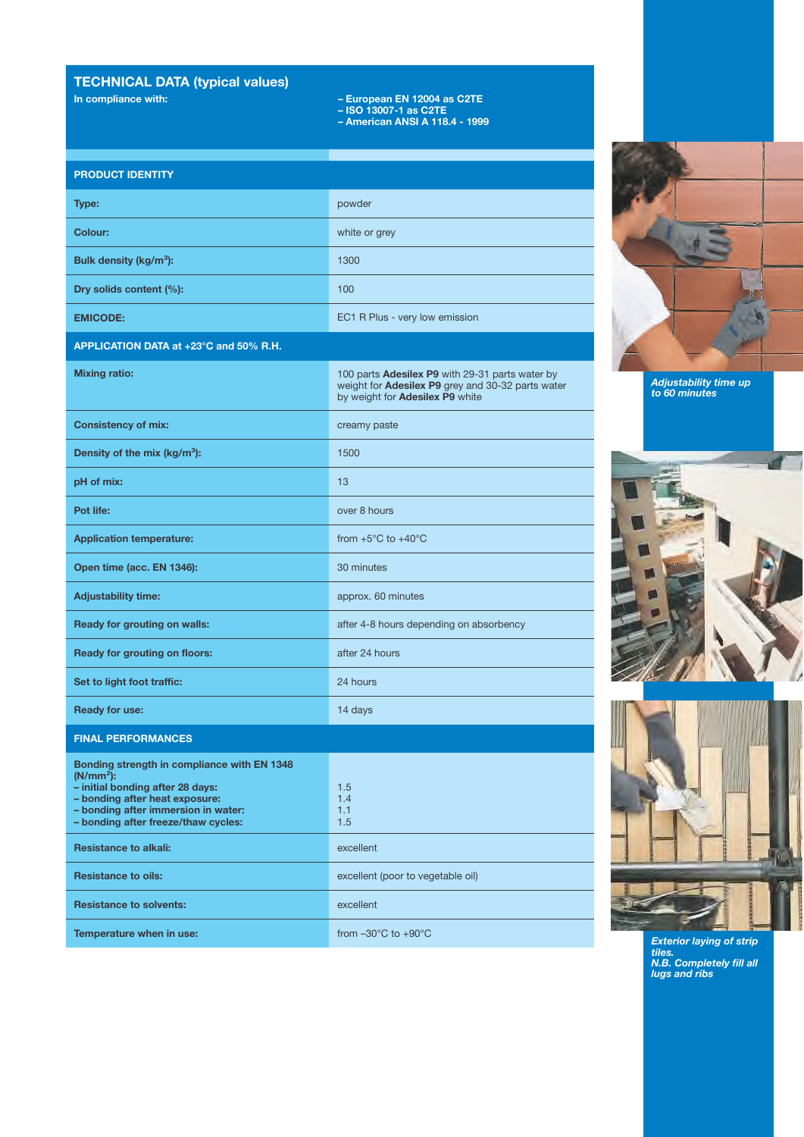# **TECHNICAL DATA (typical values)**

- **In compliance with: European EN 12004 as C2TE**
	- **ISO 13007-1 as C2TE**
	- **American ANSI A 118.4 1999**

## **PRODUCT IDENTITY**

| Type:                              | powder                         |
|------------------------------------|--------------------------------|
| Colour:                            | white or grey                  |
| Bulk density (kg/m <sup>3</sup> ): | 1300                           |
| Dry solids content (%):            | 100                            |
| <b>EMICODE:</b>                    | EC1 R Plus - very low emission |

## **APPLICATION DATA at +23°C and 50% R.H.**

| <b>Mixing ratio:</b>                                                                                                                                                                                           | 100 parts Adesilex P9 with 29-31 parts water by<br>weight for <b>Adesilex P9</b> grey and 30-32 parts water<br>by weight for Adesilex P9 white |
|----------------------------------------------------------------------------------------------------------------------------------------------------------------------------------------------------------------|------------------------------------------------------------------------------------------------------------------------------------------------|
| <b>Consistency of mix:</b>                                                                                                                                                                                     | creamy paste                                                                                                                                   |
| Density of the mix ( $kg/m3$ ):                                                                                                                                                                                | 1500                                                                                                                                           |
| pH of mix:                                                                                                                                                                                                     | 13                                                                                                                                             |
| Pot life:                                                                                                                                                                                                      | over 8 hours                                                                                                                                   |
| <b>Application temperature:</b>                                                                                                                                                                                | from $+5^{\circ}$ C to $+40^{\circ}$ C                                                                                                         |
| Open time (acc. EN 1346):                                                                                                                                                                                      | 30 minutes                                                                                                                                     |
| <b>Adjustability time:</b>                                                                                                                                                                                     | approx. 60 minutes                                                                                                                             |
| Ready for grouting on walls:                                                                                                                                                                                   | after 4-8 hours depending on absorbency                                                                                                        |
| <b>Ready for grouting on floors:</b>                                                                                                                                                                           | after 24 hours                                                                                                                                 |
| Set to light foot traffic:                                                                                                                                                                                     | 24 hours                                                                                                                                       |
| <b>Ready for use:</b>                                                                                                                                                                                          | 14 days                                                                                                                                        |
| <b>FINAL PERFORMANCES</b>                                                                                                                                                                                      |                                                                                                                                                |
| Bonding strength in compliance with EN 1348<br>$(N/mm2)$ :<br>- initial bonding after 28 days:<br>- bonding after heat exposure:<br>- bonding after immersion in water:<br>- bonding after freeze/thaw cycles: | 1.5<br>1.4<br>1.1<br>1.5                                                                                                                       |
| <b>Resistance to alkali:</b>                                                                                                                                                                                   | excellent                                                                                                                                      |
| <b>Resistance to oils:</b>                                                                                                                                                                                     | excellent (poor to vegetable oil)                                                                                                              |
| <b>Resistance to solvents:</b>                                                                                                                                                                                 | excellent                                                                                                                                      |



**Adjustability time up to 60 minutes**





**Exterior laying of strip tiles. N.B. Completely fill all lugs and ribs**

**Temperature when in use: from –30°C to +90°C**